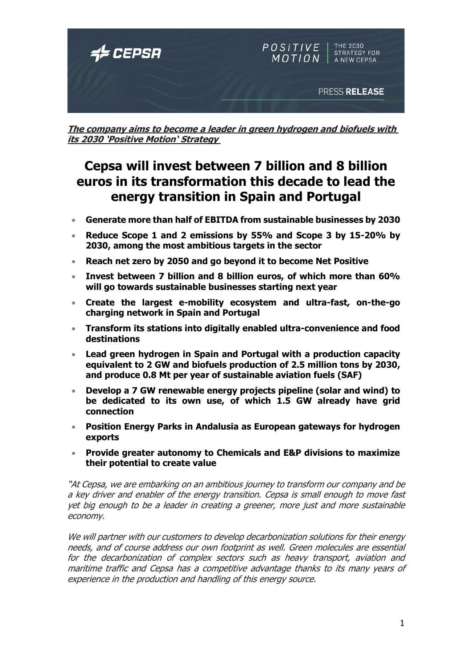

**The company aims to become a leader in green hydrogen and biofuels with its 2030 'Positive Motion' Strategy** 

# **Cepsa will invest between 7 billion and 8 billion euros in its transformation this decade to lead the energy transition in Spain and Portugal**

- **Generate more than half of EBITDA from sustainable businesses by 2030**
- **Reduce Scope 1 and 2 emissions by 55% and Scope 3 by 15-20% by 2030, among the most ambitious targets in the sector**
- **Reach net zero by 2050 and go beyond it to become Net Positive**
- **Invest between 7 billion and 8 billion euros, of which more than 60% will go towards sustainable businesses starting next year**
- **Create the largest e-mobility ecosystem and ultra-fast, on-the-go charging network in Spain and Portugal**
- **Transform its stations into digitally enabled ultra-convenience and food destinations**
- **Lead green hydrogen in Spain and Portugal with a production capacity equivalent to 2 GW and biofuels production of 2.5 million tons by 2030, and produce 0.8 Mt per year of sustainable aviation fuels (SAF)**
- **Develop a 7 GW renewable energy projects pipeline (solar and wind) to be dedicated to its own use, of which 1.5 GW already have grid connection**
- **Position Energy Parks in Andalusia as European gateways for hydrogen exports**
- **Provide greater autonomy to Chemicals and E&P divisions to maximize their potential to create value**

"At Cepsa, we are embarking on an ambitious journey to transform our company and be <sup>a</sup> key driver and enabler of the energy transition. Cepsa is small enough to move fast yet big enough to be a leader in creating a greener, more just and more sustainable economy.

We will partner with our customers to develop decarbonization solutions for their energy needs, and of course address our own footprint as well. Green molecules are essential for the decarbonization of complex sectors such as heavy transport, aviation and maritime traffic and Cepsa has a competitive advantage thanks to its many years of experience in the production and handling of this energy source.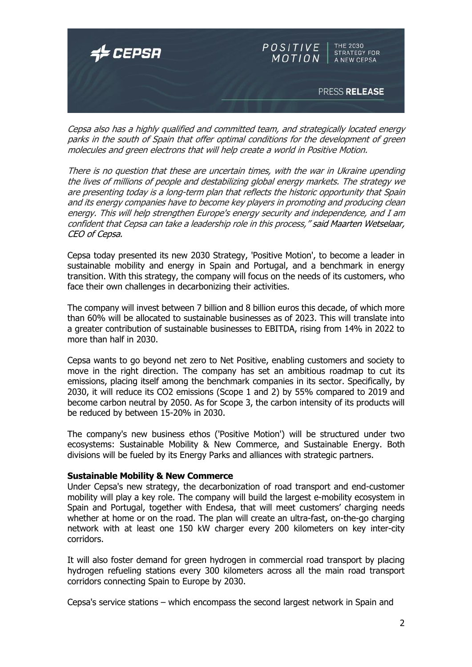

Cepsa also has a highly qualified and committed team, and strategically located energy parks in the south of Spain that offer optimal conditions for the development of green molecules and green electrons that will help create a world in Positive Motion.

There is no question that these are uncertain times, with the war in Ukraine upending the lives of millions of people and destabilizing global energy markets. The strategy we are presenting today is a long-term plan that reflects the historic opportunity that Spain and its energy companies have to become key players in promoting and producing clean energy. This will help strengthen Europe's energy security and independence, and I am confident that Cepsa can take a leadership role in this process," said Maarten Wetselaar, CEO of Cepsa.

Cepsa today presented its new 2030 Strategy, 'Positive Motion', to become a leader in sustainable mobility and energy in Spain and Portugal, and a benchmark in energy transition. With this strategy, the company will focus on the needs of its customers, who face their own challenges in decarbonizing their activities.

The company will invest between 7 billion and 8 billion euros this decade, of which more than 60% will be allocated to sustainable businesses as of 2023. This will translate into a greater contribution of sustainable businesses to EBITDA, rising from 14% in 2022 to more than half in 2030.

Cepsa wants to go beyond net zero to Net Positive, enabling customers and society to move in the right direction. The company has set an ambitious roadmap to cut its emissions, placing itself among the benchmark companies in its sector. Specifically, by 2030, it will reduce its CO2 emissions (Scope 1 and 2) by 55% compared to 2019 and become carbon neutral by 2050. As for Scope 3, the carbon intensity of its products will be reduced by between 15-20% in 2030.

The company's new business ethos ('Positive Motion') will be structured under two ecosystems: Sustainable Mobility & New Commerce, and Sustainable Energy. Both divisions will be fueled by its Energy Parks and alliances with strategic partners.

## **Sustainable Mobility & New Commerce**

Under Cepsa's new strategy, the decarbonization of road transport and end-customer mobility will play a key role. The company will build the largest e-mobility ecosystem in Spain and Portugal, together with Endesa, that will meet customers' charging needs whether at home or on the road. The plan will create an ultra-fast, on-the-go charging network with at least one 150 kW charger every 200 kilometers on key inter-city corridors.

It will also foster demand for green hydrogen in commercial road transport by placing hydrogen refueling stations every 300 kilometers across all the main road transport corridors connecting Spain to Europe by 2030.

Cepsa's service stations – which encompass the second largest network in Spain and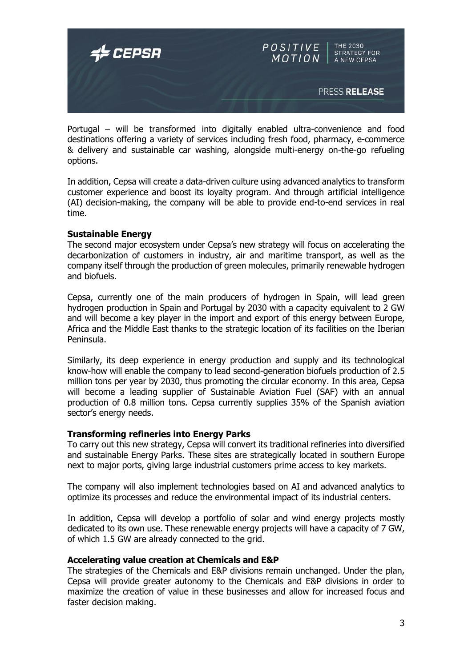

Portugal – will be transformed into digitally enabled ultra-convenience and food destinations offering a variety of services including fresh food, pharmacy, e-commerce & delivery and sustainable car washing, alongside multi-energy on-the-go refueling options.

In addition, Cepsa will create a data-driven culture using advanced analytics to transform customer experience and boost its loyalty program. And through artificial intelligence (AI) decision-making, the company will be able to provide end-to-end services in real time.

## **Sustainable Energy**

The second major ecosystem under Cepsa's new strategy will focus on accelerating the decarbonization of customers in industry, air and maritime transport, as well as the company itself through the production of green molecules, primarily renewable hydrogen and biofuels.

Cepsa, currently one of the main producers of hydrogen in Spain, will lead green hydrogen production in Spain and Portugal by 2030 with a capacity equivalent to 2 GW and will become a key player in the import and export of this energy between Europe, Africa and the Middle East thanks to the strategic location of its facilities on the Iberian Peninsula.

Similarly, its deep experience in energy production and supply and its technological know-how will enable the company to lead second-generation biofuels production of 2.5 million tons per year by 2030, thus promoting the circular economy. In this area, Cepsa will become a leading supplier of Sustainable Aviation Fuel (SAF) with an annual production of 0.8 million tons. Cepsa currently supplies 35% of the Spanish aviation sector's energy needs.

## **Transforming refineries into Energy Parks**

To carry out this new strategy, Cepsa will convert its traditional refineries into diversified and sustainable Energy Parks. These sites are strategically located in southern Europe next to major ports, giving large industrial customers prime access to key markets.

The company will also implement technologies based on AI and advanced analytics to optimize its processes and reduce the environmental impact of its industrial centers.

In addition, Cepsa will develop a portfolio of solar and wind energy projects mostly dedicated to its own use. These renewable energy projects will have a capacity of 7 GW, of which 1.5 GW are already connected to the grid.

## **Accelerating value creation at Chemicals and E&P**

The strategies of the Chemicals and E&P divisions remain unchanged. Under the plan, Cepsa will provide greater autonomy to the Chemicals and E&P divisions in order to maximize the creation of value in these businesses and allow for increased focus and faster decision making.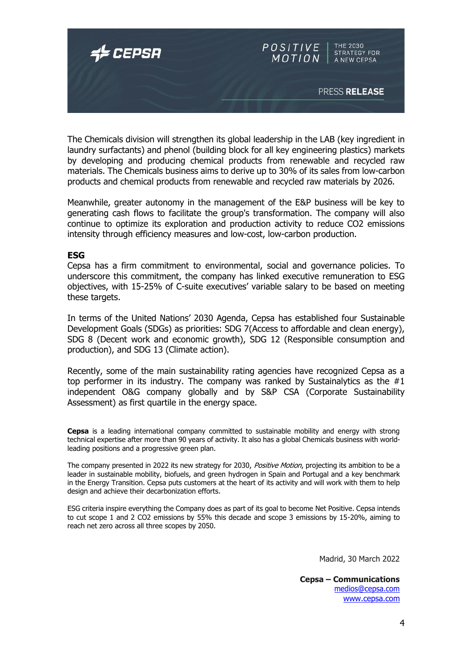

The Chemicals division will strengthen its global leadership in the LAB (key ingredient in laundry surfactants) and phenol (building block for all key engineering plastics) markets by developing and producing chemical products from renewable and recycled raw materials. The Chemicals business aims to derive up to 30% of its sales from low-carbon products and chemical products from renewable and recycled raw materials by 2026.

Meanwhile, greater autonomy in the management of the E&P business will be key to generating cash flows to facilitate the group's transformation. The company will also continue to optimize its exploration and production activity to reduce CO2 emissions intensity through efficiency measures and low-cost, low-carbon production.

### **ESG**

Cepsa has a firm commitment to environmental, social and governance policies. To underscore this commitment, the company has linked executive remuneration to ESG objectives, with 15-25% of C-suite executives' variable salary to be based on meeting these targets.

In terms of the United Nations' 2030 Agenda, Cepsa has established four Sustainable Development Goals (SDGs) as priorities: SDG 7(Access to affordable and clean energy), SDG 8 (Decent work and economic growth), SDG 12 (Responsible consumption and production), and SDG 13 (Climate action).

Recently, some of the main sustainability rating agencies have recognized Cepsa as a top performer in its industry. The company was ranked by Sustainalytics as the #1 independent O&G company globally and by S&P CSA (Corporate Sustainability Assessment) as first quartile in the energy space.

**Cepsa** is a leading international company committed to sustainable mobility and energy with strong technical expertise after more than 90 years of activity. It also has a global Chemicals business with worldleading positions and a progressive green plan.

The company presented in 2022 its new strategy for 2030, Positive Motion, projecting its ambition to be a leader in sustainable mobility, biofuels, and green hydrogen in Spain and Portugal and a key benchmark in the Energy Transition. Cepsa puts customers at the heart of its activity and will work with them to help design and achieve their decarbonization efforts.

ESG criteria inspire everything the Company does as part of its goal to become Net Positive. Cepsa intends to cut scope 1 and 2 CO2 emissions by 55% this decade and scope 3 emissions by 15-20%, aiming to reach net zero across all three scopes by 2050.

Madrid, 30 March 2022

**Cepsa – Communications** [medios@cepsa.com](mailto:medios@cepsa.com) [www.cepsa.com](http://www.cepsa.com/)